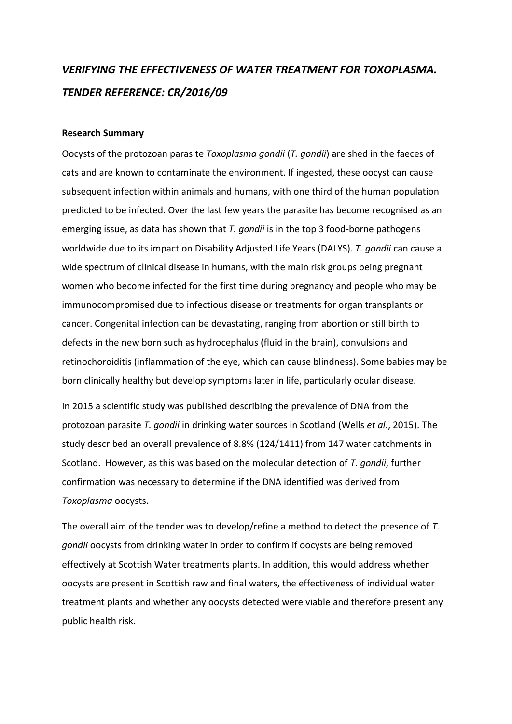## *VERIFYING THE EFFECTIVENESS OF WATER TREATMENT FOR TOXOPLASMA. TENDER REFERENCE: CR/2016/09*

## **Research Summary**

Oocysts of the protozoan parasite *Toxoplasma gondii* (*T. gondii*) are shed in the faeces of cats and are known to contaminate the environment. If ingested, these oocyst can cause subsequent infection within animals and humans, with one third of the human population predicted to be infected. Over the last few years the parasite has become recognised as an emerging issue, as data has shown that *T. gondii* is in the top 3 food-borne pathogens worldwide due to its impact on Disability Adjusted Life Years (DALYS). *T. gondii* can cause a wide spectrum of clinical disease in humans, with the main risk groups being pregnant women who become infected for the first time during pregnancy and people who may be immunocompromised due to infectious disease or treatments for organ transplants or cancer. Congenital infection can be devastating, ranging from abortion or still birth to defects in the new born such as hydrocephalus (fluid in the brain), convulsions and retinochoroiditis (inflammation of the eye, which can cause blindness). Some babies may be born clinically healthy but develop symptoms later in life, particularly ocular disease.

In 2015 a scientific study was published describing the prevalence of DNA from the protozoan parasite *T. gondii* in drinking water sources in Scotland (Wells *et al*., 2015). The study described an overall prevalence of 8.8% (124/1411) from 147 water catchments in Scotland. However, as this was based on the molecular detection of *T. gondii*, further confirmation was necessary to determine if the DNA identified was derived from *Toxoplasma* oocysts.

The overall aim of the tender was to develop/refine a method to detect the presence of *T. gondii* oocysts from drinking water in order to confirm if oocysts are being removed effectively at Scottish Water treatments plants. In addition, this would address whether oocysts are present in Scottish raw and final waters, the effectiveness of individual water treatment plants and whether any oocysts detected were viable and therefore present any public health risk.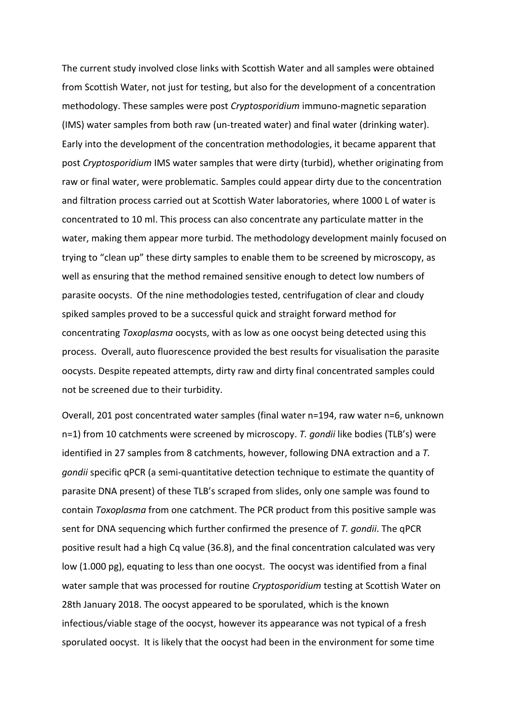The current study involved close links with Scottish Water and all samples were obtained from Scottish Water, not just for testing, but also for the development of a concentration methodology. These samples were post *Cryptosporidium* immuno-magnetic separation (IMS) water samples from both raw (un-treated water) and final water (drinking water). Early into the development of the concentration methodologies, it became apparent that post *Cryptosporidium* IMS water samples that were dirty (turbid), whether originating from raw or final water, were problematic. Samples could appear dirty due to the concentration and filtration process carried out at Scottish Water laboratories, where 1000 L of water is concentrated to 10 ml. This process can also concentrate any particulate matter in the water, making them appear more turbid. The methodology development mainly focused on trying to "clean up" these dirty samples to enable them to be screened by microscopy, as well as ensuring that the method remained sensitive enough to detect low numbers of parasite oocysts. Of the nine methodologies tested, centrifugation of clear and cloudy spiked samples proved to be a successful quick and straight forward method for concentrating *Toxoplasma* oocysts, with as low as one oocyst being detected using this process. Overall, auto fluorescence provided the best results for visualisation the parasite oocysts. Despite repeated attempts, dirty raw and dirty final concentrated samples could not be screened due to their turbidity.

Overall, 201 post concentrated water samples (final water n=194, raw water n=6, unknown n=1) from 10 catchments were screened by microscopy. *T. gondii* like bodies (TLB's) were identified in 27 samples from 8 catchments, however, following DNA extraction and a *T. gondii* specific qPCR (a semi-quantitative detection technique to estimate the quantity of parasite DNA present) of these TLB's scraped from slides, only one sample was found to contain *Toxoplasma* from one catchment. The PCR product from this positive sample was sent for DNA sequencing which further confirmed the presence of *T. gondii*. The qPCR positive result had a high Cq value (36.8), and the final concentration calculated was very low (1.000 pg), equating to less than one oocyst. The oocyst was identified from a final water sample that was processed for routine *Cryptosporidium* testing at Scottish Water on 28th January 2018. The oocyst appeared to be sporulated, which is the known infectious/viable stage of the oocyst, however its appearance was not typical of a fresh sporulated oocyst. It is likely that the oocyst had been in the environment for some time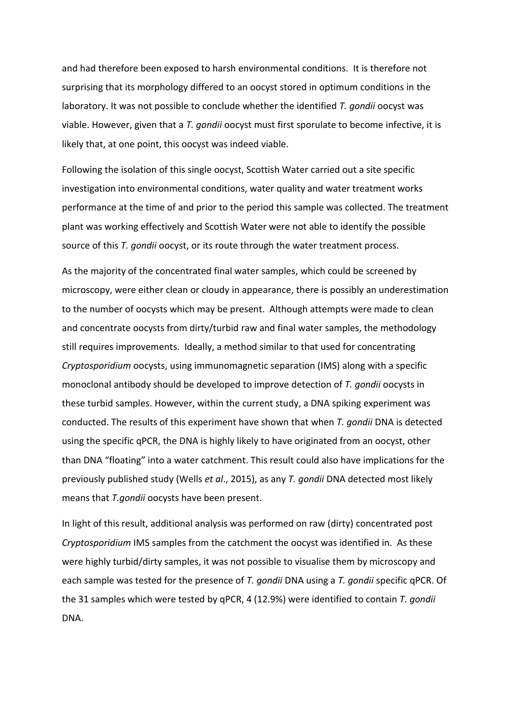and had therefore been exposed to harsh environmental conditions. It is therefore not surprising that its morphology differed to an oocyst stored in optimum conditions in the laboratory. It was not possible to conclude whether the identified *T. gondii* oocyst was viable. However, given that a *T. gondii* oocyst must first sporulate to become infective, it is likely that, at one point, this oocyst was indeed viable.

Following the isolation of this single oocyst, Scottish Water carried out a site specific investigation into environmental conditions, water quality and water treatment works performance at the time of and prior to the period this sample was collected. The treatment plant was working effectively and Scottish Water were not able to identify the possible source of this *T. gondii* oocyst, or its route through the water treatment process.

As the majority of the concentrated final water samples, which could be screened by microscopy, were either clean or cloudy in appearance, there is possibly an underestimation to the number of oocysts which may be present. Although attempts were made to clean and concentrate oocysts from dirty/turbid raw and final water samples, the methodology still requires improvements. Ideally, a method similar to that used for concentrating *Cryptosporidium* oocysts, using immunomagnetic separation (IMS) along with a specific monoclonal antibody should be developed to improve detection of *T. gondii* oocysts in these turbid samples. However, within the current study, a DNA spiking experiment was conducted. The results of this experiment have shown that when *T. gondii* DNA is detected using the specific qPCR, the DNA is highly likely to have originated from an oocyst, other than DNA "floating" into a water catchment. This result could also have implications for the previously published study (Wells *et al*., 2015), as any *T. gondii* DNA detected most likely means that *T.gondii* oocysts have been present.

In light of this result, additional analysis was performed on raw (dirty) concentrated post *Cryptosporidium* IMS samples from the catchment the oocyst was identified in. As these were highly turbid/dirty samples, it was not possible to visualise them by microscopy and each sample was tested for the presence of *T. gondii* DNA using a *T. gondii* specific qPCR. Of the 31 samples which were tested by qPCR, 4 (12.9%) were identified to contain *T. gondii* DNA.